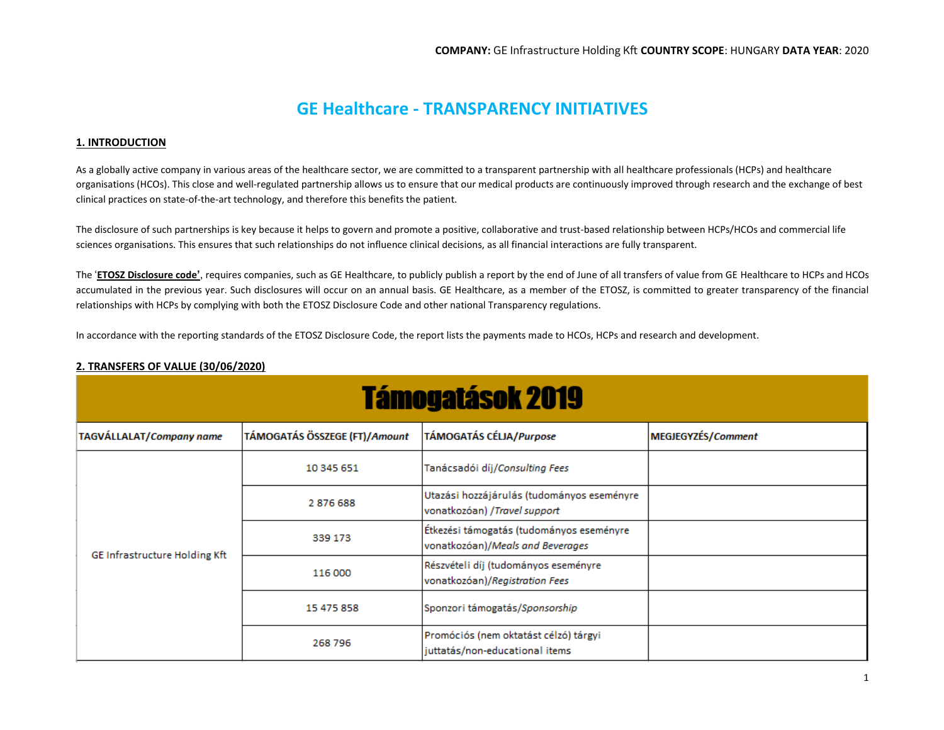# **GE Healthcare - TRANSPARENCY INITIATIVES**

## **1. INTRODUCTION**

As a globally active company in various areas of the healthcare sector, we are committed to a transparent partnership with all healthcare professionals (HCPs) and healthcare organisations (HCOs). This close and well-regulated partnership allows us to ensure that our medical products are continuously improved through research and the exchange of best clinical practices on state-of-the-art technology, and therefore this benefits the patient.

The disclosure of such partnerships is key because it helps to govern and promote a positive, collaborative and trust-based relationship between HCPs/HCOs and commercial life sciences organisations. This ensures that such relationships do not influence clinical decisions, as all financial interactions are fully transparent.

The '**ETOSZ [Disclosure code](http://transparency.efpia.eu/the-efpia-code-2)'**, requires companies, such as GE Healthcare, to publicly publish a report by the end of June of all transfers of value from GE Healthcare to HCPs and HCOs accumulated in the previous year. Such disclosures will occur on an annual basis. GE Healthcare, as a member of the ETOSZ, is committed to greater transparency of the financial relationships with HCPs by complying with both the ETOSZ Disclosure Code and other national Transparency regulations.

In accordance with the reporting standards of the ETOSZ Disclosure Code, the report lists the payments made to HCOs, HCPs and research and development.

| 2. TRANSFERS OF VALUE (30/06/2020) |
|------------------------------------|
|------------------------------------|

| <b>Támogatások 2019</b>       |                               |                                                                              |                    |  |
|-------------------------------|-------------------------------|------------------------------------------------------------------------------|--------------------|--|
| TAGVÁLLALAT/Company name      | TÁMOGATÁS ÖSSZEGE (FT)/Amount | TÁMOGATÁS CÉLJA/Purpose                                                      | MEGJEGYZÉS/Comment |  |
| GE Infrastructure Holding Kft | 10 345 651                    | Tanácsadói díj/Consulting Fees                                               |                    |  |
|                               | 2876688                       | Utazási hozzájárulás (tudományos eseményre<br>vonatkozóan) /Travel support   |                    |  |
|                               | 339 173                       | Étkezési támogatás (tudományos eseményre<br>vonatkozóan)/Meals and Beverages |                    |  |
|                               | 116 000                       | Részvételi díj (tudományos eseményre<br>vonatkozóan)/Registration Fees       |                    |  |
|                               | 15 475 858                    | Sponzori támogatás/Sponsorship                                               |                    |  |
|                               | 268 796                       | Promóciós (nem oktatást célzó) tárgyi<br>juttatás/non-educational items      |                    |  |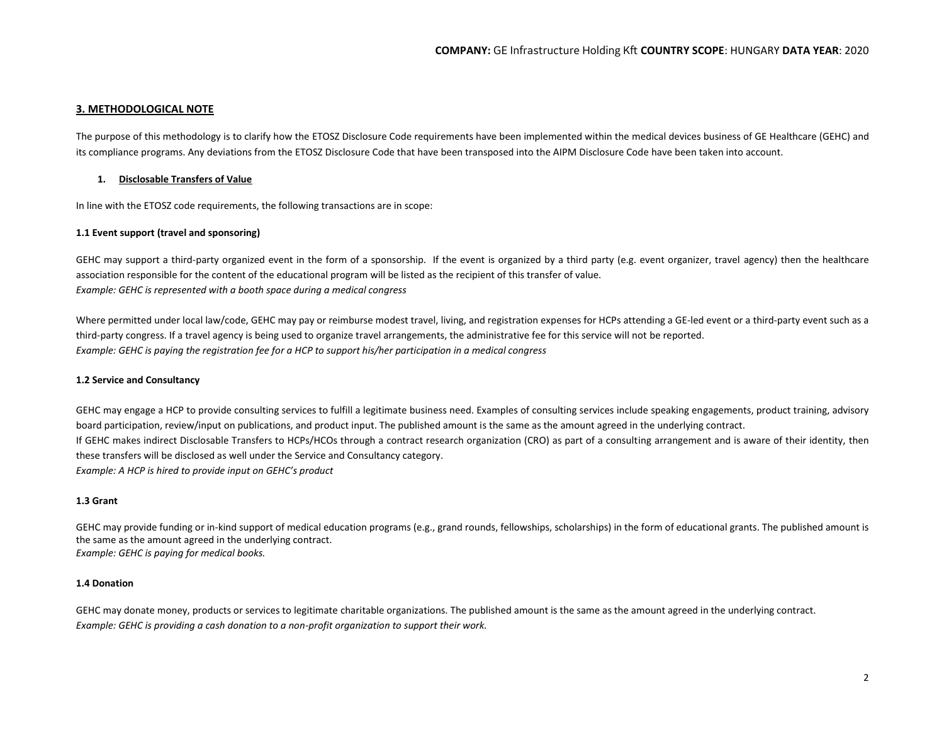## **3. METHODOLOGICAL NOTE**

The purpose of this methodology is to clarify how the ETOSZ Disclosure Code requirements have been implemented within the medical devices business of GE Healthcare (GEHC) and its compliance programs. Any deviations from the ETOSZ Disclosure Code that have been transposed into the AIPM Disclosure Code have been taken into account.

## **1. Disclosable Transfers of Value**

In line with the ETOSZ code requirements, the following transactions are in scope:

### **1.1 Event support (travel and sponsoring)**

GEHC may support a third-party organized event in the form of a sponsorship. If the event is organized by a third party (e.g. event organizer, travel agency) then the healthcare association responsible for the content of the educational program will be listed as the recipient of this transfer of value. *Example: GEHC is represented with a booth space during a medical congress*

Where permitted under local law/code, GEHC may pay or reimburse modest travel, living, and registration expenses for HCPs attending a GE-led event or a third-party event such as a third-party congress. If a travel agency is being used to organize travel arrangements, the administrative fee for this service will not be reported. *Example: GEHC is paying the registration fee for a HCP to support his/her participation in a medical congress*

### **1.2 Service and Consultancy**

GEHC may engage a HCP to provide consulting services to fulfill a legitimate business need. Examples of consulting services include speaking engagements, product training, advisory board participation, review/input on publications, and product input. The published amount is the same as the amount agreed in the underlying contract. If GEHC makes indirect Disclosable Transfers to HCPs/HCOs through a contract research organization (CRO) as part of a consulting arrangement and is aware of their identity, then these transfers will be disclosed as well under the Service and Consultancy category. *Example: A HCP is hired to provide input on GEHC's product*

### **1.3 Grant**

GEHC may provide funding or in-kind support of medical education programs (e.g., grand rounds, fellowships, scholarships) in the form of educational grants. The published amount is the same as the amount agreed in the underlying contract. *Example: GEHC is paying for medical books.*

### **1.4 Donation**

GEHC may donate money, products or services to legitimate charitable organizations. The published amount is the same as the amount agreed in the underlying contract. *Example: GEHC is providing a cash donation to a non-profit organization to support their work.*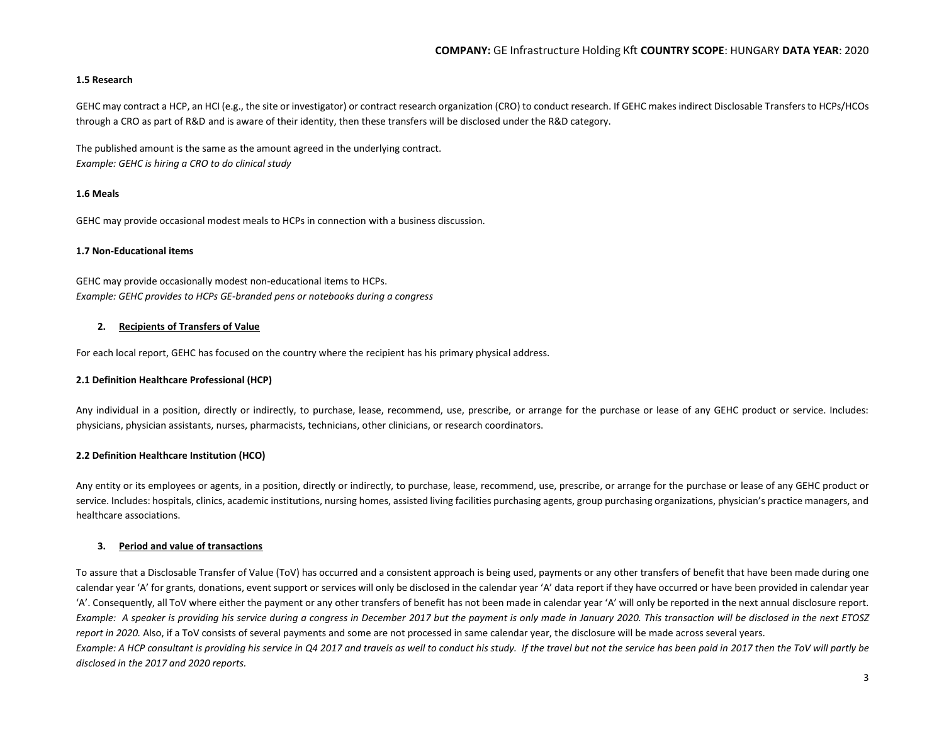### **1.5 Research**

GEHC may contract a HCP, an HCI (e.g., the site or investigator) or contract research organization (CRO) to conduct research. If GEHC makes indirect Disclosable Transfers to HCPs/HCOs through a CRO as part of R&D and is aware of their identity, then these transfers will be disclosed under the R&D category.

The published amount is the same as the amount agreed in the underlying contract. *Example: GEHC is hiring a CRO to do clinical study*

### **1.6 Meals**

GEHC may provide occasional modest meals to HCPs in connection with a business discussion.

#### **1.7 Non-Educational items**

GEHC may provide occasionally modest non-educational items to HCPs. *Example: GEHC provides to HCPs GE-branded pens or notebooks during a congress*

### **2. Recipients of Transfers of Value**

For each local report, GEHC has focused on the country where the recipient has his primary physical address.

### **2.1 Definition Healthcare Professional (HCP)**

Any individual in a position, directly or indirectly, to purchase, lease, recommend, use, prescribe, or arrange for the purchase or lease of any GEHC product or service. Includes: physicians, physician assistants, nurses, pharmacists, technicians, other clinicians, or research coordinators.

### **2.2 Definition Healthcare Institution (HCO)**

Any entity or its employees or agents, in a position, directly or indirectly, to purchase, lease, recommend, use, prescribe, or arrange for the purchase or lease of any GEHC product or service. Includes: hospitals, clinics, academic institutions, nursing homes, assisted living facilities purchasing agents, group purchasing organizations, physician's practice managers, and healthcare associations.

### **3. Period and value of transactions**

To assure that a Disclosable Transfer of Value (ToV) has occurred and a consistent approach is being used, payments or any other transfers of benefit that have been made during one calendar year 'A' for grants, donations, event support or services will only be disclosed in the calendar year 'A' data report if they have occurred or have been provided in calendar year 'A'. Consequently, all ToV where either the payment or any other transfers of benefit has not been made in calendar year 'A' will only be reported in the next annual disclosure report. *Example: A speaker is providing his service during a congress in December 2017 but the payment is only made in January 2020. This transaction will be disclosed in the next ETOSZ report in 2020.* Also, if a ToV consists of several payments and some are not processed in same calendar year, the disclosure will be made across several years. *Example: A HCP consultant is providing his service in Q4 2017 and travels as well to conduct his study. If the travel but not the service has been paid in 2017 then the ToV will partly be disclosed in the 2017 and 2020 reports.*